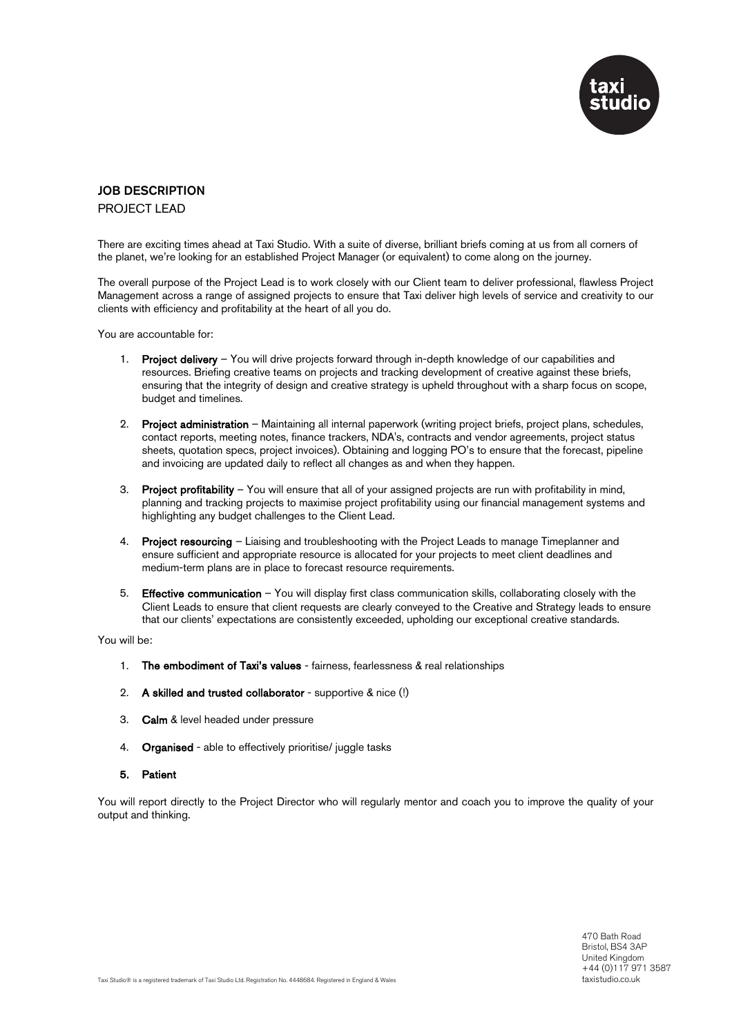

## JOB DESCRIPTION

PROJECT LEAD

There are exciting times ahead at Taxi Studio. With a suite of diverse, brilliant briefs coming at us from all corners of the planet, we're looking for an established Project Manager (or equivalent) to come along on the journey.

The overall purpose of the Project Lead is to work closely with our Client team to deliver professional, flawless Project Management across a range of assigned projects to ensure that Taxi deliver high levels of service and creativity to our clients with efficiency and profitability at the heart of all you do.

You are accountable for:

- 1. Project delivery You will drive projects forward through in-depth knowledge of our capabilities and resources. Briefing creative teams on projects and tracking development of creative against these briefs, ensuring that the integrity of design and creative strategy is upheld throughout with a sharp focus on scope, budget and timelines.
- 2. Project administration Maintaining all internal paperwork (writing project briefs, project plans, schedules, contact reports, meeting notes, finance trackers, NDA's, contracts and vendor agreements, project status sheets, quotation specs, project invoices). Obtaining and logging PO's to ensure that the forecast, pipeline and invoicing are updated daily to reflect all changes as and when they happen.
- 3. Project profitability You will ensure that all of your assigned projects are run with profitability in mind, planning and tracking projects to maximise project profitability using our financial management systems and highlighting any budget challenges to the Client Lead.
- 4. Project resourcing Liaising and troubleshooting with the Project Leads to manage Timeplanner and ensure sufficient and appropriate resource is allocated for your projects to meet client deadlines and medium-term plans are in place to forecast resource requirements.
- 5. Effective communication You will display first class communication skills, collaborating closely with the Client Leads to ensure that client requests are clearly conveyed to the Creative and Strategy leads to ensure that our clients' expectations are consistently exceeded, upholding our exceptional creative standards.

You will be:

- 1. The embodiment of Taxi's values fairness, fearlessness & real relationships
- 2. A skilled and trusted collaborator supportive & nice (!)
- 3. Calm & level headed under pressure
- 4. Organised able to effectively prioritise/ juggle tasks
- 5. Patient

You will report directly to the Project Director who will regularly mentor and coach you to improve the quality of your output and thinking.